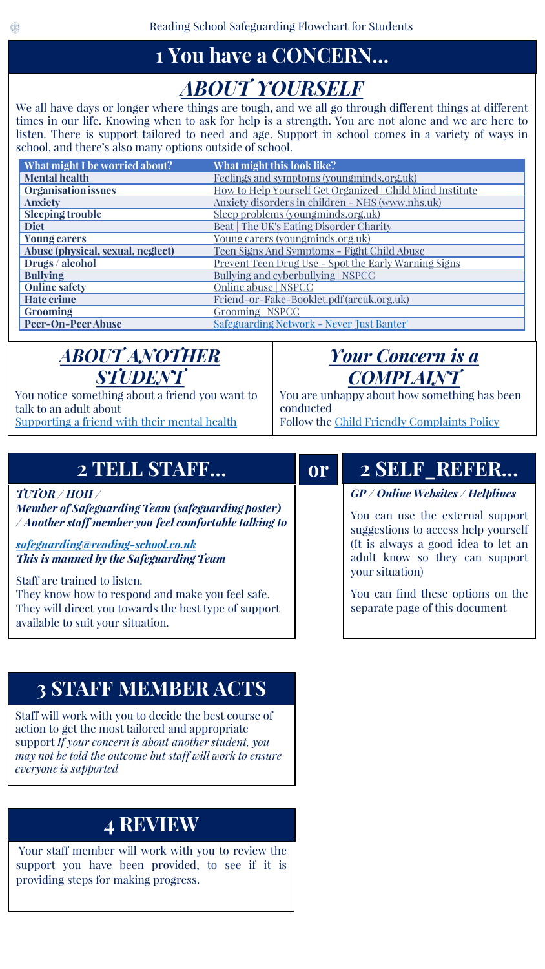# **1 You have a CONCERN…**

# *ABOUT YOURSELF*

We all have days or longer where things are tough, and we all go through different things at different times in our life. Knowing when to ask for help is a strength. You are not alone and we are here to listen. There is support tailored to need and age. Support in school comes in a variety of ways in school, and there's also many options outside of school.

| What might I be worried about?    | What might this look like?                                |
|-----------------------------------|-----------------------------------------------------------|
| <b>Mental health</b>              | Feelings and symptoms (youngminds.org.uk)                 |
| <b>Organisation issues</b>        | How to Help Yourself Get Organized   Child Mind Institute |
| <b>Anxiety</b>                    | Anxiety disorders in children - NHS (www.nhs.uk)          |
| Sleeping trouble                  | Sleep problems (youngminds.org.uk)                        |
| <b>Diet</b>                       | Beat   The UK's Eating Disorder Charity                   |
| <b>Young carers</b>               | Young carers (youngminds.org.uk)                          |
| Abuse (physical, sexual, neglect) | Teen Signs And Symptoms - Fight Child Abuse               |
| Drugs / alcohol                   | Prevent Teen Drug Use - Spot the Early Warning Signs      |
| <b>Bullying</b>                   | Bullying and cyberbullying   NSPCC                        |
| <b>Online safety</b>              | Online abuse   NSPCC                                      |
| <b>Hate crime</b>                 | Friend-or-Fake-Booklet.pdf (arcuk.org.uk)                 |
| <b>Grooming</b>                   | Grooming   NSPCC                                          |
| <b>Peer-On-Peer Abuse</b>         | Safeguarding Network - Never 'Just Banter'                |

**or**

## *ABOUT ANOTHER STUDENT*

You notice something about a friend you want to talk to an adult about [Supporting a friend with their mental health](https://youngminds.org.uk/find-help/looking-after-yourself/supporting-a-friend-with-their-mental-health/?utm_source=enewsletter&utm_medium=email&utm_campaign=not_all_on_you&utm_content=march_2021_newsletter)

# *Your Concern is a COMPLAINT*

You are unhappy about how something has been conducted Follow the [Child Friendly Complaints Policy](https://www.reading-school.co.uk/attachments/download.asp?file=2415&type=pdf)

## **2 TELL STAFF…**

*TUTOR / HOH /* 

*Member of Safeguarding Team (safeguarding poster) / Another staff member you feel comfortable talking to*

*[safeguarding@reading-school.co.uk](mailto:safeguarding@reading-school.co.uk) This is manned by the Safeguarding Team*

Staff are trained to listen.

They know how to respond and make you feel safe. They will direct you towards the best type of support available to suit your situation.

## **3 STAFF MEMBER ACTS**

Staff will work with you to decide the best course of action to get the most tailored and appropriate support *If your concern is about another student, you may not be told the outcome but staff will work to ensure everyone is supported* 

## **4 REVIEW**

Your staff member will work with you to review the support you have been provided, to see if it is providing steps for making progress.

## **2 SELF\_REFER…**

*GP / Online Websites / Helplines*

You can use the external support suggestions to access help yourself (It is always a good idea to let an adult know so they can support your situation)

You can find these options on the separate page of this document